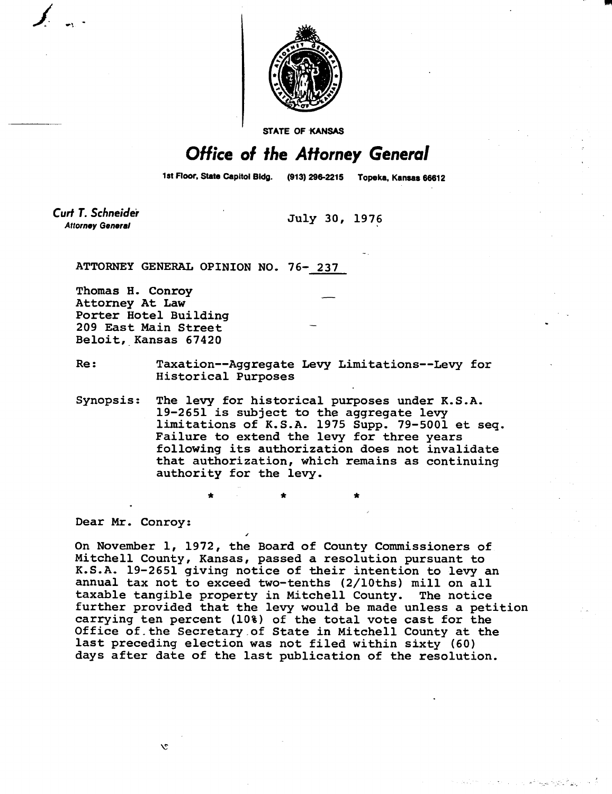

**STATE OF KANSAS** 

## Office of the Attorney General

1st Floor, State Capitol Bldg. (913) 296-2215 Topeka, Kansas 66612

**Curt T. Schneider Attorney General July 30, 1976** 

**ATTORNEY GENERAL OPINION NO. 76- 237** 

**Thomas H. Conroy Attorney At Law Porter Hotel Building 209 East Main Street Beloit, Kansas 67420** 

- **Re: Taxation--Aggregate Levy Limitations--Levy for Historical Purposes**
- **Synopsis: The levy for historical purposes under K.S.A. 19-2651 is subject to the aggregate levy limitations of K.S.A. 1975 Supp. 79-5001 et seq. Failure to extend the levy for three years following its authorization does not invalidate that authorization, which remains as continuing authority for the levy.**

**Dear Mr. Conroy:** 

 $\mathcal{L}$ 

**On November 1, 1972, the Board of County Commissioners of Mitchell County, Kansas, passed a resolution pursuant to K.S.A. 19-2651 giving notice of their intention to levy an annual tax not to exceed two-tenths (2/10ths) mill on all taxable tangible property in Mitchell County. The notice further provided that the levy would be made unless a petition**  carrying ten percent (10%) of the total vote cast for the **Office of the Secretary of State in Mitchell County at the last preceding election was not filed within sixty (60) days after date of the last publication of the resolution.**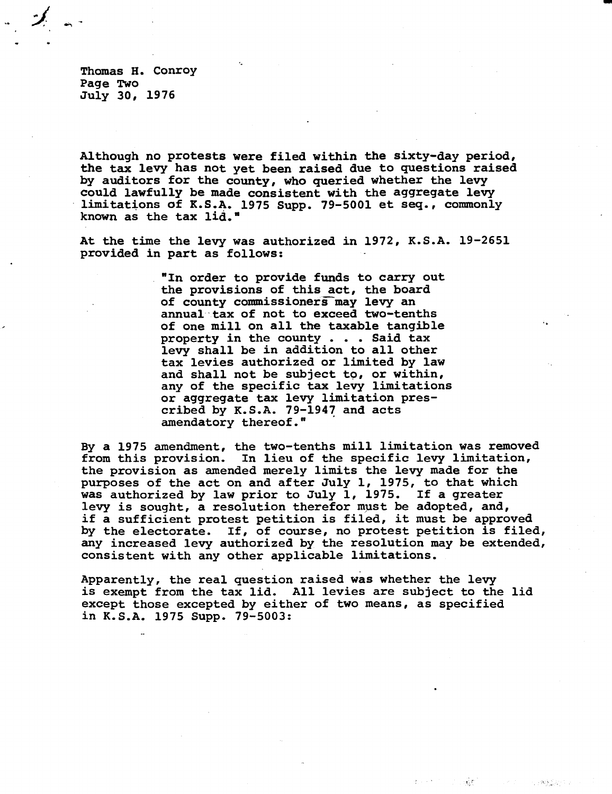Thomas H. Conroy Page Two July 30, 1976

**Although no protests were filed within the sixty-day period, the tax levy has not yet been raised due to questions raised by auditors for the county, who queried whether the levy could lawfully be made consistent with the aggregate levy limitations of K.S.A. 1975 Supp. 79-5001 et seq., commonly known as the tax lid."** 

**At the time the levy was authorized in 1972, K.S.A. 19-2651 provided in part as follows:** 

> **"In order to provide funds to carry out the provisions of this act, the board**  of county commissioners may levy an **annual tax of not to exceed two-tenths of one mill on all the taxable tangible property in the county . . . Said tax levy shall be in addition to all other tax levies authorized or limited by law and shall not be subject to, or within, any of the specific tax levy limitations or aggregate tax levy limitation prescribed by K.S.A. 79-1947 and acts amendatory thereof."**

**By a 1975 amendment, the two-tenths mill limitation was removed from this provision. In lieu of the specific levy limitation, the provision as amended merely limits the levy made for the purposes of the act on and after July 1, 1975, to that which was authorized by law prior to July 1, 1975. If a greater levy is sought, a resolution therefor must be adopted, and, if a sufficient protest petition is filed, it must be approved by the electorate. If, of course, no protest petition is filed, any increased levy authorized by the resolution may be extended, consistent with any other applicable limitations.** 

**Apparently, the real question raised was whether the levy is exempt from the tax lid. All levies are subject to the lid except those excepted by either of two means, as specified in K.S.A. 1975 Supp. 79-5003:** 

र्नुहो